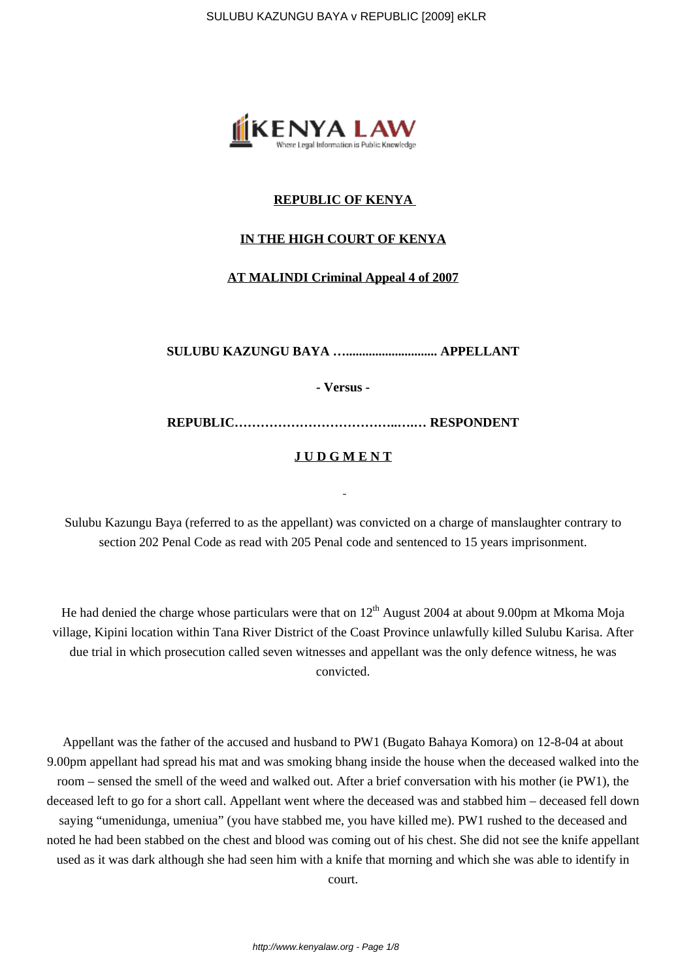

# **REPUBLIC OF KENYA**

## **IN THE HIGH COURT OF KENYA**

## **AT MALINDI Criminal Appeal 4 of 2007**

**SULUBU KAZUNGU BAYA …............................ APPELLANT**

**- Versus -**

**REPUBLIC………………………………..….… RESPONDENT**

# **J U D G M E N T**

Sulubu Kazungu Baya (referred to as the appellant) was convicted on a charge of manslaughter contrary to section 202 Penal Code as read with 205 Penal code and sentenced to 15 years imprisonment.

He had denied the charge whose particulars were that on  $12<sup>th</sup>$  August 2004 at about 9.00pm at Mkoma Moja village, Kipini location within Tana River District of the Coast Province unlawfully killed Sulubu Karisa. After due trial in which prosecution called seven witnesses and appellant was the only defence witness, he was convicted.

Appellant was the father of the accused and husband to PW1 (Bugato Bahaya Komora) on 12-8-04 at about 9.00pm appellant had spread his mat and was smoking bhang inside the house when the deceased walked into the room – sensed the smell of the weed and walked out. After a brief conversation with his mother (ie PW1), the deceased left to go for a short call. Appellant went where the deceased was and stabbed him – deceased fell down saying "umenidunga, umeniua" (you have stabbed me, you have killed me). PW1 rushed to the deceased and noted he had been stabbed on the chest and blood was coming out of his chest. She did not see the knife appellant used as it was dark although she had seen him with a knife that morning and which she was able to identify in

court.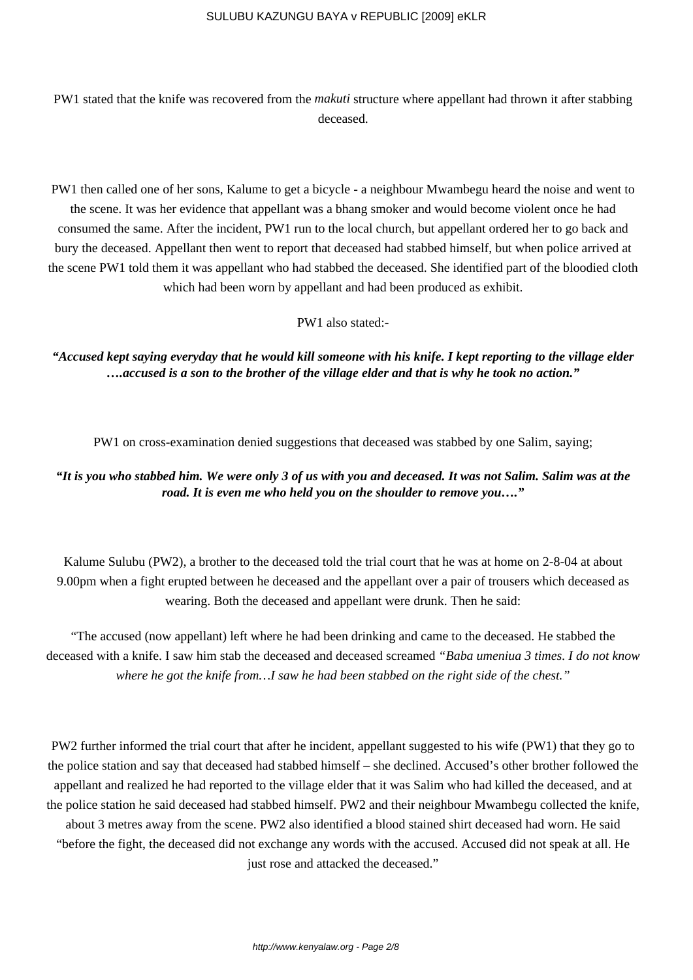PW1 stated that the knife was recovered from the *makuti* structure where appellant had thrown it after stabbing deceased.

PW1 then called one of her sons, Kalume to get a bicycle - a neighbour Mwambegu heard the noise and went to the scene. It was her evidence that appellant was a bhang smoker and would become violent once he had consumed the same. After the incident, PW1 run to the local church, but appellant ordered her to go back and bury the deceased. Appellant then went to report that deceased had stabbed himself, but when police arrived at the scene PW1 told them it was appellant who had stabbed the deceased. She identified part of the bloodied cloth which had been worn by appellant and had been produced as exhibit.

PW1 also stated:-

*"Accused kept saying everyday that he would kill someone with his knife. I kept reporting to the village elder ….accused is a son to the brother of the village elder and that is why he took no action."*

PW1 on cross-examination denied suggestions that deceased was stabbed by one Salim, saying;

# *"It is you who stabbed him. We were only 3 of us with you and deceased. It was not Salim. Salim was at the road. It is even me who held you on the shoulder to remove you…."*

Kalume Sulubu (PW2), a brother to the deceased told the trial court that he was at home on 2-8-04 at about 9.00pm when a fight erupted between he deceased and the appellant over a pair of trousers which deceased as wearing. Both the deceased and appellant were drunk. Then he said:

"The accused (now appellant) left where he had been drinking and came to the deceased. He stabbed the deceased with a knife. I saw him stab the deceased and deceased screamed *"Baba umeniua 3 times. I do not know where he got the knife from…I saw he had been stabbed on the right side of the chest."*

PW2 further informed the trial court that after he incident, appellant suggested to his wife (PW1) that they go to the police station and say that deceased had stabbed himself – she declined. Accused's other brother followed the appellant and realized he had reported to the village elder that it was Salim who had killed the deceased, and at the police station he said deceased had stabbed himself. PW2 and their neighbour Mwambegu collected the knife, about 3 metres away from the scene. PW2 also identified a blood stained shirt deceased had worn. He said "before the fight, the deceased did not exchange any words with the accused. Accused did not speak at all. He just rose and attacked the deceased."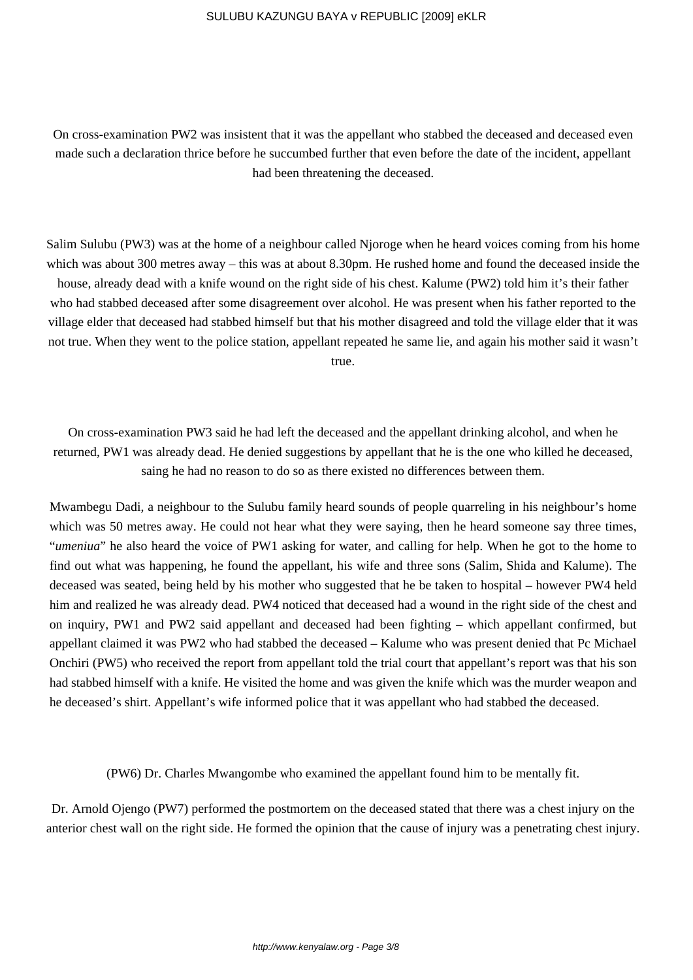On cross-examination PW2 was insistent that it was the appellant who stabbed the deceased and deceased even made such a declaration thrice before he succumbed further that even before the date of the incident, appellant had been threatening the deceased.

Salim Sulubu (PW3) was at the home of a neighbour called Njoroge when he heard voices coming from his home which was about 300 metres away – this was at about 8.30pm. He rushed home and found the deceased inside the house, already dead with a knife wound on the right side of his chest. Kalume (PW2) told him it's their father who had stabbed deceased after some disagreement over alcohol. He was present when his father reported to the village elder that deceased had stabbed himself but that his mother disagreed and told the village elder that it was not true. When they went to the police station, appellant repeated he same lie, and again his mother said it wasn't true.

On cross-examination PW3 said he had left the deceased and the appellant drinking alcohol, and when he returned, PW1 was already dead. He denied suggestions by appellant that he is the one who killed he deceased, saing he had no reason to do so as there existed no differences between them.

Mwambegu Dadi, a neighbour to the Sulubu family heard sounds of people quarreling in his neighbour's home which was 50 metres away. He could not hear what they were saying, then he heard someone say three times, "*umeniua*" he also heard the voice of PW1 asking for water, and calling for help. When he got to the home to find out what was happening, he found the appellant, his wife and three sons (Salim, Shida and Kalume). The deceased was seated, being held by his mother who suggested that he be taken to hospital – however PW4 held him and realized he was already dead. PW4 noticed that deceased had a wound in the right side of the chest and on inquiry, PW1 and PW2 said appellant and deceased had been fighting – which appellant confirmed, but appellant claimed it was PW2 who had stabbed the deceased – Kalume who was present denied that Pc Michael Onchiri (PW5) who received the report from appellant told the trial court that appellant's report was that his son had stabbed himself with a knife. He visited the home and was given the knife which was the murder weapon and he deceased's shirt. Appellant's wife informed police that it was appellant who had stabbed the deceased.

(PW6) Dr. Charles Mwangombe who examined the appellant found him to be mentally fit.

Dr. Arnold Ojengo (PW7) performed the postmortem on the deceased stated that there was a chest injury on the anterior chest wall on the right side. He formed the opinion that the cause of injury was a penetrating chest injury.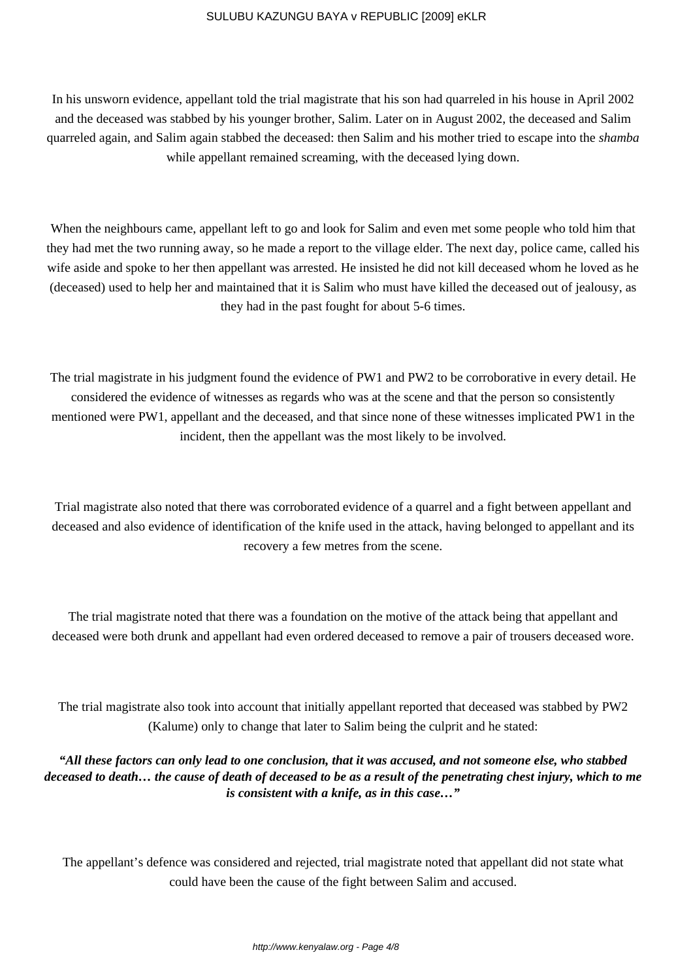In his unsworn evidence, appellant told the trial magistrate that his son had quarreled in his house in April 2002 and the deceased was stabbed by his younger brother, Salim. Later on in August 2002, the deceased and Salim quarreled again, and Salim again stabbed the deceased: then Salim and his mother tried to escape into the *shamba* while appellant remained screaming, with the deceased lying down.

When the neighbours came, appellant left to go and look for Salim and even met some people who told him that they had met the two running away, so he made a report to the village elder. The next day, police came, called his wife aside and spoke to her then appellant was arrested. He insisted he did not kill deceased whom he loved as he (deceased) used to help her and maintained that it is Salim who must have killed the deceased out of jealousy, as they had in the past fought for about 5-6 times.

The trial magistrate in his judgment found the evidence of PW1 and PW2 to be corroborative in every detail. He considered the evidence of witnesses as regards who was at the scene and that the person so consistently mentioned were PW1, appellant and the deceased, and that since none of these witnesses implicated PW1 in the incident, then the appellant was the most likely to be involved.

Trial magistrate also noted that there was corroborated evidence of a quarrel and a fight between appellant and deceased and also evidence of identification of the knife used in the attack, having belonged to appellant and its recovery a few metres from the scene.

The trial magistrate noted that there was a foundation on the motive of the attack being that appellant and deceased were both drunk and appellant had even ordered deceased to remove a pair of trousers deceased wore.

The trial magistrate also took into account that initially appellant reported that deceased was stabbed by PW2 (Kalume) only to change that later to Salim being the culprit and he stated:

*"All these factors can only lead to one conclusion, that it was accused, and not someone else, who stabbed deceased to death… the cause of death of deceased to be as a result of the penetrating chest injury, which to me is consistent with a knife, as in this case…"*

The appellant's defence was considered and rejected, trial magistrate noted that appellant did not state what could have been the cause of the fight between Salim and accused.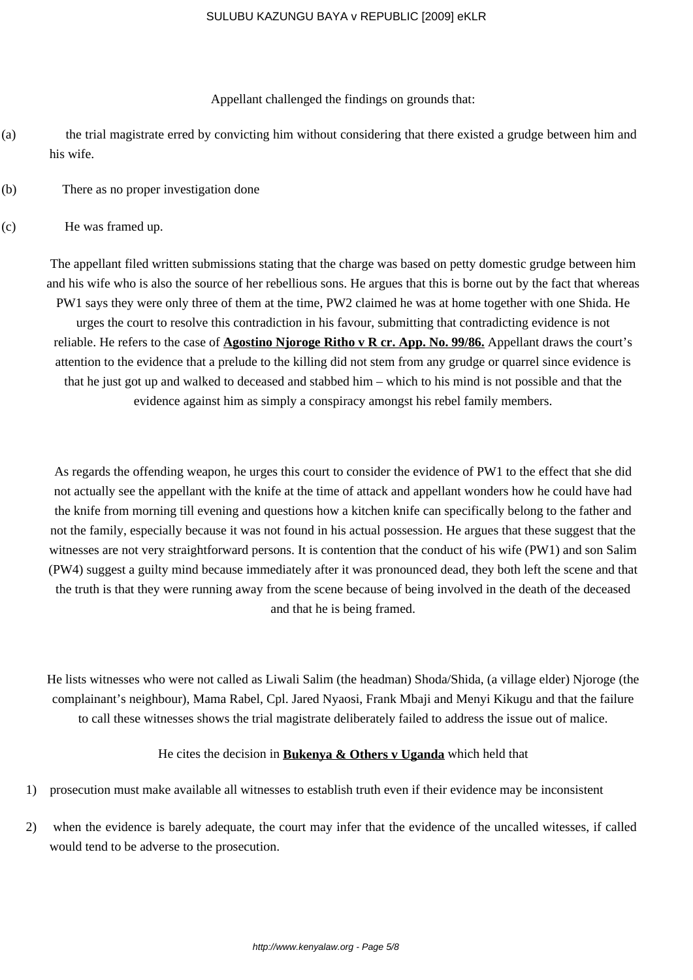Appellant challenged the findings on grounds that:

- (a) the trial magistrate erred by convicting him without considering that there existed a grudge between him and his wife.
- (b) There as no proper investigation done
- (c) He was framed up.

The appellant filed written submissions stating that the charge was based on petty domestic grudge between him and his wife who is also the source of her rebellious sons. He argues that this is borne out by the fact that whereas PW1 says they were only three of them at the time, PW2 claimed he was at home together with one Shida. He urges the court to resolve this contradiction in his favour, submitting that contradicting evidence is not reliable. He refers to the case of **Agostino Njoroge Ritho v R cr. App. No. 99/86.** Appellant draws the court's attention to the evidence that a prelude to the killing did not stem from any grudge or quarrel since evidence is that he just got up and walked to deceased and stabbed him – which to his mind is not possible and that the evidence against him as simply a conspiracy amongst his rebel family members.

As regards the offending weapon, he urges this court to consider the evidence of PW1 to the effect that she did not actually see the appellant with the knife at the time of attack and appellant wonders how he could have had the knife from morning till evening and questions how a kitchen knife can specifically belong to the father and not the family, especially because it was not found in his actual possession. He argues that these suggest that the witnesses are not very straightforward persons. It is contention that the conduct of his wife (PW1) and son Salim (PW4) suggest a guilty mind because immediately after it was pronounced dead, they both left the scene and that the truth is that they were running away from the scene because of being involved in the death of the deceased and that he is being framed.

He lists witnesses who were not called as Liwali Salim (the headman) Shoda/Shida, (a village elder) Njoroge (the complainant's neighbour), Mama Rabel, Cpl. Jared Nyaosi, Frank Mbaji and Menyi Kikugu and that the failure to call these witnesses shows the trial magistrate deliberately failed to address the issue out of malice.

## He cites the decision in **Bukenya & Others v Uganda** which held that

- 1) prosecution must make available all witnesses to establish truth even if their evidence may be inconsistent
- 2) when the evidence is barely adequate, the court may infer that the evidence of the uncalled witesses, if called would tend to be adverse to the prosecution.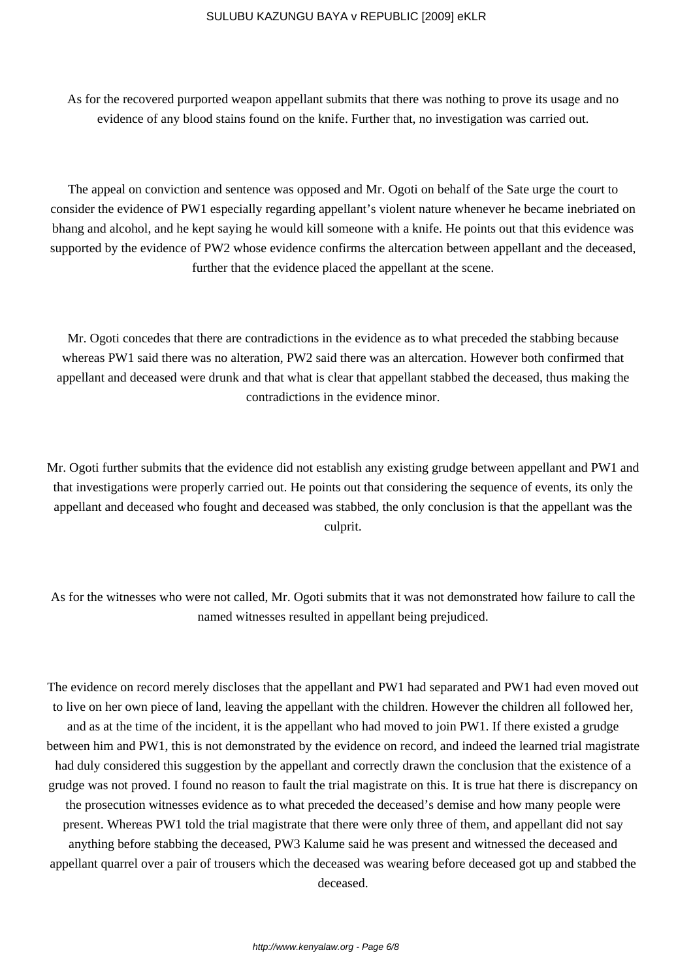As for the recovered purported weapon appellant submits that there was nothing to prove its usage and no evidence of any blood stains found on the knife. Further that, no investigation was carried out.

The appeal on conviction and sentence was opposed and Mr. Ogoti on behalf of the Sate urge the court to consider the evidence of PW1 especially regarding appellant's violent nature whenever he became inebriated on bhang and alcohol, and he kept saying he would kill someone with a knife. He points out that this evidence was supported by the evidence of PW2 whose evidence confirms the altercation between appellant and the deceased, further that the evidence placed the appellant at the scene.

Mr. Ogoti concedes that there are contradictions in the evidence as to what preceded the stabbing because whereas PW1 said there was no alteration, PW2 said there was an altercation. However both confirmed that appellant and deceased were drunk and that what is clear that appellant stabbed the deceased, thus making the contradictions in the evidence minor.

Mr. Ogoti further submits that the evidence did not establish any existing grudge between appellant and PW1 and that investigations were properly carried out. He points out that considering the sequence of events, its only the appellant and deceased who fought and deceased was stabbed, the only conclusion is that the appellant was the culprit.

As for the witnesses who were not called, Mr. Ogoti submits that it was not demonstrated how failure to call the named witnesses resulted in appellant being prejudiced.

The evidence on record merely discloses that the appellant and PW1 had separated and PW1 had even moved out to live on her own piece of land, leaving the appellant with the children. However the children all followed her, and as at the time of the incident, it is the appellant who had moved to join PW1. If there existed a grudge between him and PW1, this is not demonstrated by the evidence on record, and indeed the learned trial magistrate had duly considered this suggestion by the appellant and correctly drawn the conclusion that the existence of a grudge was not proved. I found no reason to fault the trial magistrate on this. It is true hat there is discrepancy on the prosecution witnesses evidence as to what preceded the deceased's demise and how many people were present. Whereas PW1 told the trial magistrate that there were only three of them, and appellant did not say anything before stabbing the deceased, PW3 Kalume said he was present and witnessed the deceased and appellant quarrel over a pair of trousers which the deceased was wearing before deceased got up and stabbed the deceased.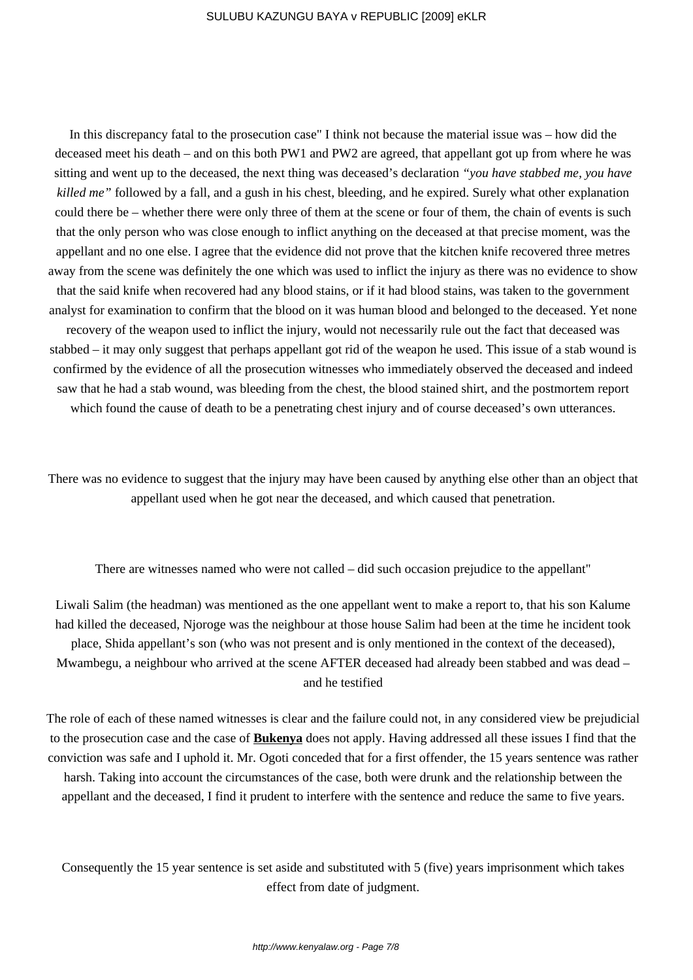In this discrepancy fatal to the prosecution case" I think not because the material issue was – how did the deceased meet his death – and on this both PW1 and PW2 are agreed, that appellant got up from where he was sitting and went up to the deceased, the next thing was deceased's declaration *"you have stabbed me, you have killed me"* followed by a fall, and a gush in his chest, bleeding, and he expired. Surely what other explanation could there be – whether there were only three of them at the scene or four of them, the chain of events is such that the only person who was close enough to inflict anything on the deceased at that precise moment, was the appellant and no one else. I agree that the evidence did not prove that the kitchen knife recovered three metres away from the scene was definitely the one which was used to inflict the injury as there was no evidence to show that the said knife when recovered had any blood stains, or if it had blood stains, was taken to the government analyst for examination to confirm that the blood on it was human blood and belonged to the deceased. Yet none recovery of the weapon used to inflict the injury, would not necessarily rule out the fact that deceased was stabbed – it may only suggest that perhaps appellant got rid of the weapon he used. This issue of a stab wound is confirmed by the evidence of all the prosecution witnesses who immediately observed the deceased and indeed saw that he had a stab wound, was bleeding from the chest, the blood stained shirt, and the postmortem report which found the cause of death to be a penetrating chest injury and of course deceased's own utterances.

There was no evidence to suggest that the injury may have been caused by anything else other than an object that appellant used when he got near the deceased, and which caused that penetration.

There are witnesses named who were not called – did such occasion prejudice to the appellant"

Liwali Salim (the headman) was mentioned as the one appellant went to make a report to, that his son Kalume had killed the deceased, Njoroge was the neighbour at those house Salim had been at the time he incident took place, Shida appellant's son (who was not present and is only mentioned in the context of the deceased), Mwambegu, a neighbour who arrived at the scene AFTER deceased had already been stabbed and was dead – and he testified

The role of each of these named witnesses is clear and the failure could not, in any considered view be prejudicial to the prosecution case and the case of **Bukenya** does not apply. Having addressed all these issues I find that the conviction was safe and I uphold it. Mr. Ogoti conceded that for a first offender, the 15 years sentence was rather harsh. Taking into account the circumstances of the case, both were drunk and the relationship between the appellant and the deceased, I find it prudent to interfere with the sentence and reduce the same to five years.

Consequently the 15 year sentence is set aside and substituted with 5 (five) years imprisonment which takes effect from date of judgment.